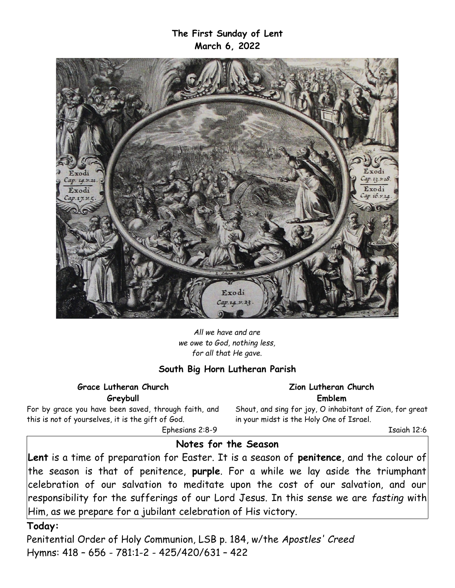**The First Sunday of Lent March 6, 2022**



*All we have and are we owe to God, nothing less, for all that He gave.*

### **South Big Horn Lutheran Parish**

**Grace Lutheran Church Greybull**

For by grace you have been saved, through faith, and this is not of yourselves, it is the gift of God.

**Zion Lutheran Church Emblem** Shout, and sing for joy, O inhabitant of Zion, for great

in your midst is the Holy One of Israel.

Ephesians 2:8-9

Isaiah 12:6

## **Notes for the Season**

**Lent** is a time of preparation for Easter. It is a season of **penitence**, and the colour of the season is that of penitence, **purple**. For a while we lay aside the triumphant celebration of our salvation to meditate upon the cost of our salvation, and our responsibility for the sufferings of our Lord Jesus. In this sense we are *fasting* with Him, as we prepare for a jubilant celebration of His victory.

### **Today:**

Penitential Order of Holy Communion, LSB p. 184, w/the *Apostles' Creed* Hymns: 418 – 656 - 781:1-2 - 425/420/631 – 422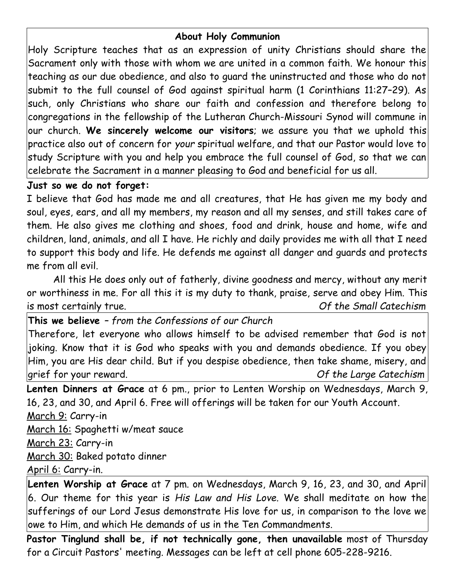# **About Holy Communion**

Holy Scripture teaches that as an expression of unity Christians should share the Sacrament only with those with whom we are united in a common faith. We honour this teaching as our due obedience, and also to guard the uninstructed and those who do not submit to the full counsel of God against spiritual harm (1 Corinthians 11:27–29). As such, only Christians who share our faith and confession and therefore belong to congregations in the fellowship of the Lutheran Church-Missouri Synod will commune in our church. **We sincerely welcome our visitors**; we assure you that we uphold this practice also out of concern for *your* spiritual welfare, and that our Pastor would love to study Scripture with you and help you embrace the full counsel of God, so that we can celebrate the Sacrament in a manner pleasing to God and beneficial for us all.

# **Just so we do not forget:**

I believe that God has made me and all creatures, that He has given me my body and soul, eyes, ears, and all my members, my reason and all my senses, and still takes care of them. He also gives me clothing and shoes, food and drink, house and home, wife and children, land, animals, and all I have. He richly and daily provides me with all that I need to support this body and life. He defends me against all danger and guards and protects me from all evil.

All this He does only out of fatherly, divine goodness and mercy, without any merit or worthiness in me. For all this it is my duty to thank, praise, serve and obey Him. This is most certainly true. *Of the Small Catechism*

**This we believe** *– from the Confessions of our Church* Therefore, let everyone who allows himself to be advised remember that God is not joking. Know that it is God who speaks with you and demands obedience. If you obey Him, you are His dear child. But if you despise obedience, then take shame, misery, and grief for your reward. *Of the Large Catechism*

**Lenten Dinners at Grace** at 6 pm., prior to Lenten Worship on Wednesdays, March 9, 16, 23, and 30, and April 6. Free will offerings will be taken for our Youth Account. March 9: Carry-in

March 16: Spaghetti w/meat sauce March 23: Carry-in March 30: Baked potato dinner April 6: Carry-in*.*

**Lenten Worship at Grace** at 7 pm. on Wednesdays, March 9, 16, 23, and 30, and April 6. Our theme for this year is *His Law and His Love.* We shall meditate on how the sufferings of our Lord Jesus demonstrate His love for us, in comparison to the love we owe to Him, and which He demands of us in the Ten Commandments.

**Pastor Tinglund shall be, if not technically gone, then unavailable** most of Thursday for a Circuit Pastors' meeting. Messages can be left at cell phone 605-228-9216.